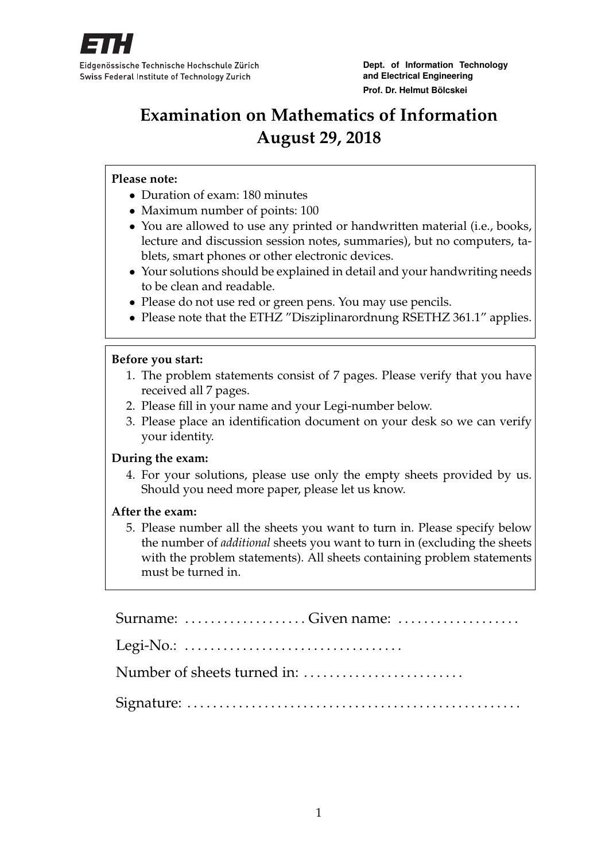

**Dept. of Information Technology and Electrical Engineering Prof. Dr. Helmut Bölcskei**

# **Examination on Mathematics of Information August 29, 2018**

#### **Please note:**

- Duration of exam: 180 minutes
- Maximum number of points: 100
- You are allowed to use any printed or handwritten material (i.e., books, lecture and discussion session notes, summaries), but no computers, tablets, smart phones or other electronic devices.
- Your solutions should be explained in detail and your handwriting needs to be clean and readable.
- Please do not use red or green pens. You may use pencils.
- Please note that the ETHZ "Disziplinarordnung RSETHZ 361.1" applies.

#### **Before you start:**

- 1. The problem statements consist of 7 pages. Please verify that you have received all 7 pages.
- 2. Please fill in your name and your Legi-number below.
- 3. Please place an identification document on your desk so we can verify your identity.

#### **During the exam:**

4. For your solutions, please use only the empty sheets provided by us. Should you need more paper, please let us know.

#### **After the exam:**

5. Please number all the sheets you want to turn in. Please specify below the number of *additional* sheets you want to turn in (excluding the sheets with the problem statements). All sheets containing problem statements must be turned in.

| Legi-No.: $\dots\dots\dots\dots\dots\dots\dots\dots\dots\dots\dots\dots\dots\dots$ |
|------------------------------------------------------------------------------------|
|                                                                                    |
|                                                                                    |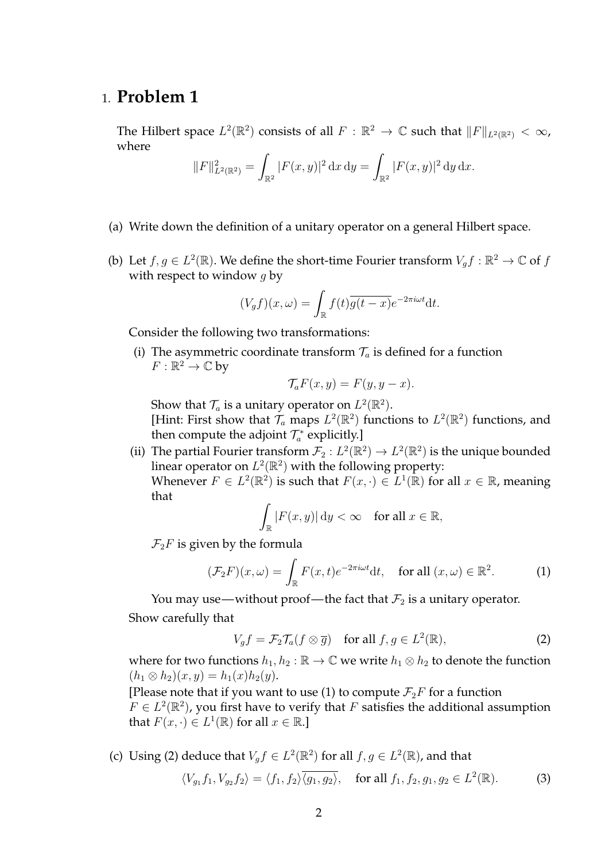### 1. **Problem 1**

The Hilbert space  $L^2(\mathbb{R}^2)$  consists of all  $F: \mathbb{R}^2 \to \mathbb{C}$  such that  $||F||_{L^2(\mathbb{R}^2)} < \infty$ , where

$$
||F||_{L^{2}(\mathbb{R}^{2})}^{2} = \int_{\mathbb{R}^{2}} |F(x, y)|^{2} dx dy = \int_{\mathbb{R}^{2}} |F(x, y)|^{2} dy dx.
$$

- (a) Write down the definition of a unitary operator on a general Hilbert space.
- (b) Let  $f, g \in L^2(\mathbb{R})$ . We define the short-time Fourier transform  $V_g f : \mathbb{R}^2 \to \mathbb{C}$  of f with respect to window  $q$  by

$$
(V_g f)(x,\omega) = \int_{\mathbb{R}} f(t) \overline{g(t-x)} e^{-2\pi i \omega t} dt.
$$

Consider the following two transformations:

(i) The asymmetric coordinate transform  $\mathcal{T}_a$  is defined for a function  $F:\mathbb{R}^2\to\mathbb{C}$  by

$$
\mathcal{T}_a F(x, y) = F(y, y - x).
$$

Show that  $\mathcal{T}_a$  is a unitary operator on  $L^2(\mathbb{R}^2)$ .

[Hint: First show that  $\mathcal{T}_a$  maps  $L^2(\mathbb{R}^2)$  functions to  $L^2(\mathbb{R}^2)$  functions, and then compute the adjoint  $\mathcal{T}_a^*$  explicitly.]

(ii) The partial Fourier transform  $\mathcal{F}_2 : L^2(\mathbb{R}^2) \to L^2(\mathbb{R}^2)$  is the unique bounded linear operator on  $L^2(\mathbb{R}^2)$  with the following property: Whenever  $F \in L^2(\mathbb{R}^2)$  is such that  $F(x, \cdot) \in L^1(\mathbb{R})$  for all  $x \in \mathbb{R}$ , meaning that

$$
\int_{\mathbb{R}} |F(x, y)| \, \mathrm{d}y < \infty \quad \text{for all } x \in \mathbb{R},
$$

 $\mathcal{F}_2F$  is given by the formula

$$
(\mathcal{F}_2 F)(x,\omega) = \int_{\mathbb{R}} F(x,t)e^{-2\pi i \omega t} \mathrm{d}t, \quad \text{for all } (x,\omega) \in \mathbb{R}^2. \tag{1}
$$

You may use—without proof—the fact that  $\mathcal{F}_2$  is a unitary operator. Show carefully that

$$
V_g f = \mathcal{F}_2 \mathcal{T}_a(f \otimes \overline{g}) \quad \text{for all } f, g \in L^2(\mathbb{R}), \tag{2}
$$

where for two functions  $h_1, h_2 : \mathbb{R} \to \mathbb{C}$  we write  $h_1 \otimes h_2$  to denote the function  $(h_1 \otimes h_2)(x, y) = h_1(x)h_2(y).$ 

[Please note that if you want to use (1) to compute  $\mathcal{F}_2F$  for a function  $F \in L^2(\mathbb{R}^2)$ , you first have to verify that F satisfies the additional assumption that  $F(x, \cdot) \in L^1(\mathbb{R})$  for all  $x \in \mathbb{R}$ .

(c) Using (2) deduce that  $V_g f \in L^2(\mathbb{R}^2)$  for all  $f, g \in L^2(\mathbb{R})$ , and that

$$
\langle V_{g_1} f_1, V_{g_2} f_2 \rangle = \langle f_1, f_2 \rangle \overline{\langle g_1, g_2 \rangle}, \quad \text{for all } f_1, f_2, g_1, g_2 \in L^2(\mathbb{R}). \tag{3}
$$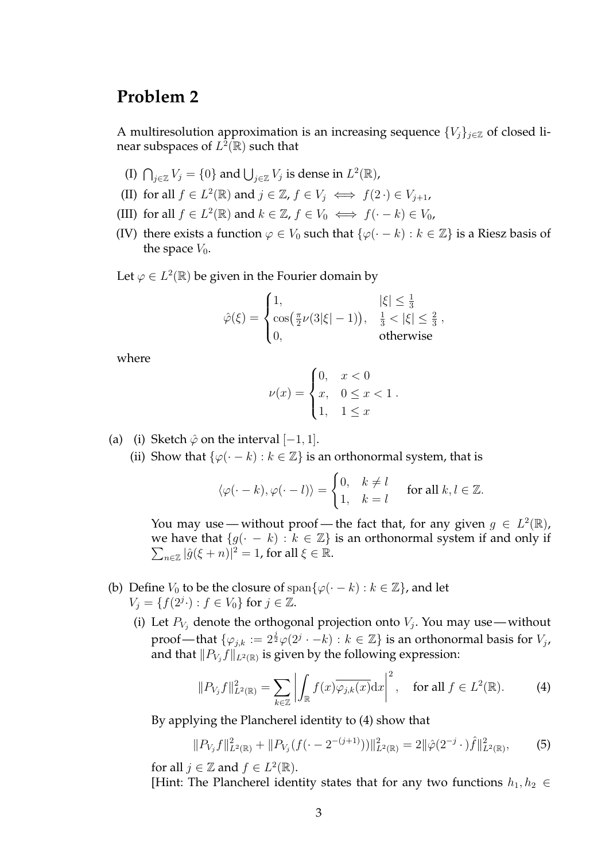# **Problem 2**

A multiresolution approximation is an increasing sequence  $\{V_j\}_{j\in\mathbb{Z}}$  of closed linear subspaces of  $L^{\widehat{2}}(\overline{\mathbb{R}})$  such that

- (I)  $\bigcap_{j\in\mathbb{Z}}V_j=\{0\}$  and  $\bigcup_{j\in\mathbb{Z}}V_j$  is dense in  $L^2(\mathbb{R})$ ,
- (II) for all  $f \in L^2(\mathbb{R})$  and  $j \in \mathbb{Z}$ ,  $f \in V_j \iff f(2 \cdot) \in V_{j+1}$ ,
- (III) for all  $f \in L^2(\mathbb{R})$  and  $k \in \mathbb{Z}$ ,  $f \in V_0 \iff f(\cdot k) \in V_0$ ,
- (IV) there exists a function  $\varphi \in V_0$  such that  $\{\varphi(\cdot k) : k \in \mathbb{Z}\}\)$  is a Riesz basis of the space  $V_0$ .

Let  $\varphi \in L^2(\mathbb{R})$  be given in the Fourier domain by

$$
\hat{\varphi}(\xi) = \begin{cases} 1, & |\xi| \le \frac{1}{3} \\ \cos(\frac{\pi}{2}\nu(3|\xi|-1)), & \frac{1}{3} < |\xi| \le \frac{2}{3} \\ 0, & \text{otherwise} \end{cases}
$$

where

$$
\nu(x) = \begin{cases} 0, & x < 0 \\ x, & 0 \le x < 1 \\ 1, & 1 \le x \end{cases}.
$$

- (a) (i) Sketch  $\hat{\varphi}$  on the interval  $[-1, 1]$ .
	- (ii) Show that  $\{\varphi(\cdot k) : k \in \mathbb{Z}\}$  is an orthonormal system, that is

$$
\langle \varphi(\cdot - k), \varphi(\cdot - l) \rangle = \begin{cases} 0, & k \neq l \\ 1, & k = l \end{cases}
$$
 for all  $k, l \in \mathbb{Z}$ .

You may use — without proof — the fact that, for any given  $g \in L^2(\mathbb{R})$ , we have that  $\{g(\cdot - k) : k \in \mathbb{Z}\}$  is an orthonormal system if and only if  $\sum_{n\in\mathbb{Z}}|\hat{g}(\xi+n)|^2=1$ , for all  $\xi\in\mathbb{R}$ .

- (b) Define  $V_0$  to be the closure of span $\{\varphi(\cdot k) : k \in \mathbb{Z}\}\)$ , and let  $V_j = \{ f(2^{j} \cdot) : f \in V_0 \}$  for  $j \in \mathbb{Z}$ .
	- (i) Let  $P_{V_j}$  denote the orthogonal projection onto  $V_j$ . You may use without proof—that  $\{\varphi_{j,k}:=2^{\frac{j}{2}}\varphi(2^j\cdot-k):k\in\mathbb{Z}\}$  is an orthonormal basis for  $V_j,$ and that  $\|P_{V_j}f\|_{L^2(\mathbb{R})}$  is given by the following expression:

$$
||P_{V_j}f||_{L^2(\mathbb{R})}^2 = \sum_{k \in \mathbb{Z}} \left| \int_{\mathbb{R}} f(x) \overline{\varphi_{j,k}(x)} dx \right|^2, \quad \text{for all } f \in L^2(\mathbb{R}). \tag{4}
$$

By applying the Plancherel identity to (4) show that

$$
||P_{V_j}f||_{L^2(\mathbb{R})}^2 + ||P_{V_j}(f(\cdot - 2^{-(j+1)}))||_{L^2(\mathbb{R})}^2 = 2||\hat{\varphi}(2^{-j} \cdot)\hat{f}||_{L^2(\mathbb{R})}^2, \tag{5}
$$

for all  $j \in \mathbb{Z}$  and  $f \in L^2(\mathbb{R})$ .

[Hint: The Plancherel identity states that for any two functions  $h_1, h_2 \in$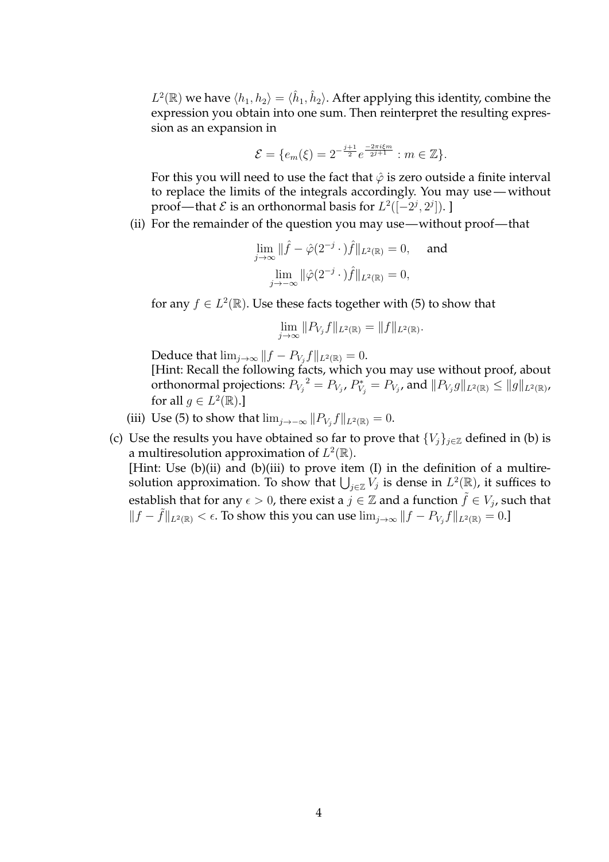$L^2(\mathbb{R})$  we have  $\langle h_1, h_2 \rangle = \langle \hat{h}_1, \hat{h}_2 \rangle$ . After applying this identity, combine the expression you obtain into one sum. Then reinterpret the resulting expression as an expansion in

$$
\mathcal{E} = \{e_m(\xi) = 2^{-\frac{j+1}{2}} e^{\frac{-2\pi i \xi m}{2^{j+1}}} : m \in \mathbb{Z}\}.
$$

For this you will need to use the fact that  $\hat{\varphi}$  is zero outside a finite interval to replace the limits of the integrals accordingly. You may use— without proof—that  ${\cal E}$  is an orthonormal basis for  $L^2([-2^j,2^j])$ . ]

(ii) For the remainder of the question you may use—without proof— that

$$
\lim_{j \to \infty} \|\hat{f} - \hat{\varphi}(2^{-j} \cdot)\hat{f}\|_{L^2(\mathbb{R})} = 0, \text{ and}
$$

$$
\lim_{j \to -\infty} \|\hat{\varphi}(2^{-j} \cdot)\hat{f}\|_{L^2(\mathbb{R})} = 0,
$$

for any  $f \in L^2(\mathbb{R})$ . Use these facts together with (5) to show that

$$
\lim_{j \to \infty} ||P_{V_j} f||_{L^2(\mathbb{R})} = ||f||_{L^2(\mathbb{R})}.
$$

Deduce that  $\lim_{j\to\infty} ||f - P_{V_j}f||_{L^2(\mathbb{R})} = 0.$ [Hint: Recall the following facts, which you may use without proof, about orthonormal projections:  $P_{V_j}^2 = P_{V_j}$ ,  $P_{V_j}^* = P_{V_j}$ , and  $||P_{V_j}g||_{L^2(\mathbb{R})} \le ||g||_{L^2(\mathbb{R})}$ , for all  $g \in L^2(\mathbb{R})$ .]

- (iii) Use (5) to show that  $\lim_{j\to-\infty} ||P_{V_j}f||_{L^2(\mathbb{R})} = 0.$
- (c) Use the results you have obtained so far to prove that  $\{V_j\}_{j\in\mathbb{Z}}$  defined in (b) is a multiresolution approximation of  $L^2(\mathbb{R})$ . [Hint: Use (b)(ii) and (b)(iii) to prove item (I) in the definition of a multiresolution approximation. To show that  $\bigcup_{j\in\mathbb{Z}}V_j$  is dense in  $L^2(\mathbb{R})$ , it suffices to establish that for any  $\epsilon > 0$ , there exist a  $j \in \mathbb{Z}$  and a function  $\tilde{f} \in V_j$ , such that  $||f - \tilde{f}||_{L^2(\mathbb{R})} < \epsilon$ . To show this you can use  $\lim_{j \to \infty} ||f - P_{V_j}f||_{L^2(\mathbb{R})} = 0$ .]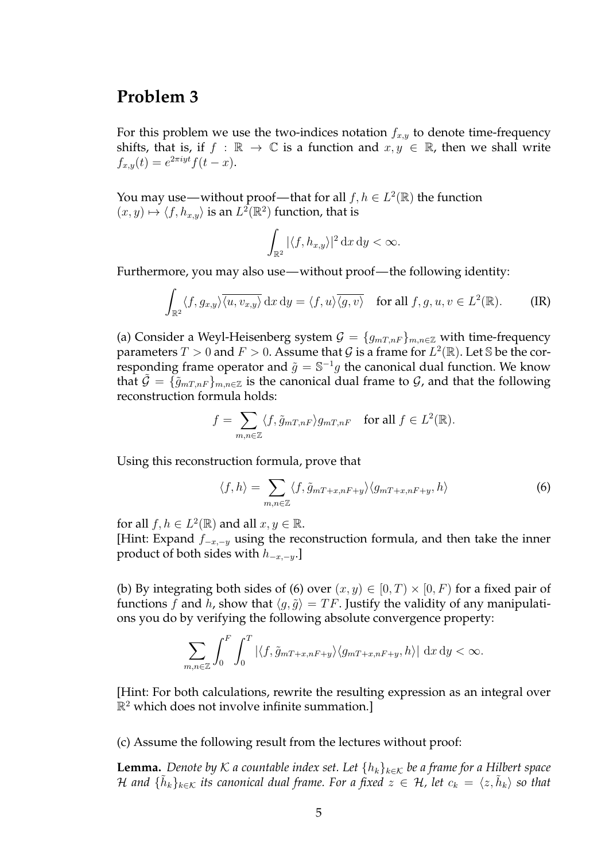### **Problem 3**

For this problem we use the two-indices notation  $f_{x,y}$  to denote time-frequency shifts, that is, if  $f : \mathbb{R} \to \mathbb{C}$  is a function and  $x, y \in \mathbb{R}$ , then we shall write  $f_{x,y}(t) = e^{2\pi i y t} f(t-x).$ 

You may use—without proof—that for all  $f, h \in L^2(\mathbb{R})$  the function  $(x, y) \mapsto \langle f, h_{x,y} \rangle$  is an  $L^2(\mathbb{R}^2)$  function, that is

$$
\int_{\mathbb{R}^2} |\langle f, h_{x,y} \rangle|^2 \, \mathrm{d}x \, \mathrm{d}y < \infty.
$$

Furthermore, you may also use—without proof— the following identity:

$$
\int_{\mathbb{R}^2} \langle f, g_{x,y} \rangle \overline{\langle u, v_{x,y} \rangle} \, dx \, dy = \langle f, u \rangle \overline{\langle g, v \rangle} \quad \text{for all } f, g, u, v \in L^2(\mathbb{R}). \tag{IR}
$$

(a) Consider a Weyl-Heisenberg system  $\mathcal{G} = \{g_{mT,nF}\}_{m,n \in \mathbb{Z}}$  with time-frequency parameters  $T > 0$  and  $F > 0$ . Assume that  $\mathcal G$  is a frame for  $L^2(\mathbb R)$ . Let S be the corresponding frame operator and  $\tilde{g} = \mathbb{S}^{-1}g$  the canonical dual function. We know that  $\mathcal{G} = \{\tilde{g}_{mT,nF}\}_{m,n\in\mathbb{Z}}$  is the canonical dual frame to  $\mathcal{G}$ , and that the following reconstruction formula holds:

$$
f = \sum_{m,n \in \mathbb{Z}} \langle f, \tilde{g}_{mT,nF} \rangle g_{mT,nF} \quad \text{for all } f \in L^2(\mathbb{R}).
$$

Using this reconstruction formula, prove that

$$
\langle f, h \rangle = \sum_{m,n \in \mathbb{Z}} \langle f, \tilde{g}_{mT+x,nF+y} \rangle \langle g_{mT+x,nF+y}, h \rangle \tag{6}
$$

for all  $f, h \in L^2(\mathbb{R})$  and all  $x, y \in \mathbb{R}$ . [Hint: Expand  $f_{-x,-y}$  using the reconstruction formula, and then take the inner product of both sides with  $h_{-x,-y}$ .]

(b) By integrating both sides of (6) over  $(x, y) \in [0, T) \times [0, F)$  for a fixed pair of functions f and h, show that  $\langle q, \tilde{q} \rangle = TF$ . Justify the validity of any manipulations you do by verifying the following absolute convergence property:

$$
\sum_{m,n\in\mathbb{Z}}\int_0^F\int_0^T|\langle f,\tilde{g}_{mT+x,nF+y}\rangle\langle g_{mT+x,nF+y},h\rangle|\,\mathrm{d}x\,\mathrm{d}y<\infty.
$$

[Hint: For both calculations, rewrite the resulting expression as an integral over  $\mathbb{R}^2$  which does not involve infinite summation.]

(c) Assume the following result from the lectures without proof:

**Lemma.** *Denote by* K *a* countable index set. Let  $\{h_k\}_{k\in\mathcal{K}}$  be a frame for a Hilbert space H and  $\{\tilde{h}_k\}_{k\in\mathcal{K}}$  its canonical dual frame. For a fixed  $z\,\in\,\mathcal{H}$ , let  $c_k\,=\,\langle z,\tilde{h}_k\rangle$  so that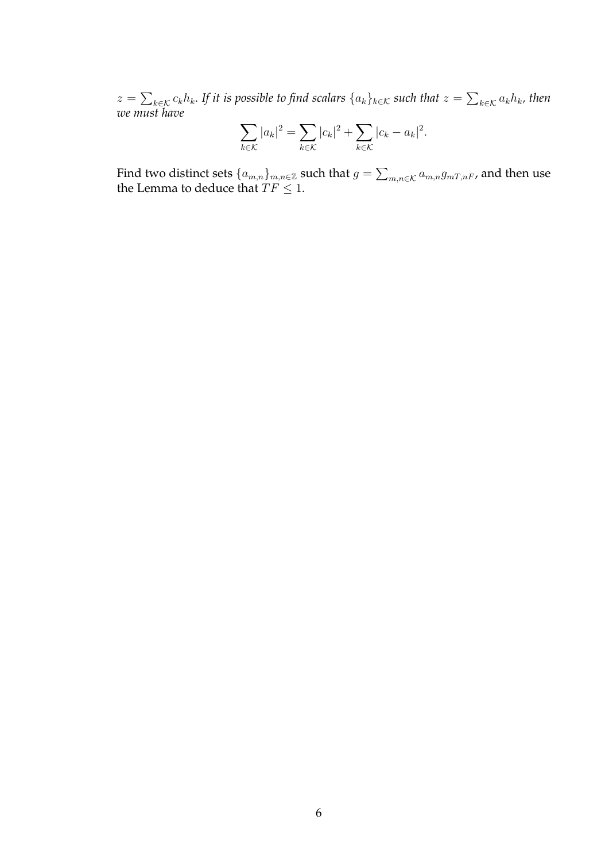$z=\sum_{k\in\mathcal{K}}c_kh_k.$  If it is possible to find scalars  $\{a_k\}_{k\in\mathcal{K}}$  such that  $z=\sum_{k\in\mathcal{K}}a_kh_k$ , then *we must have*

$$
\sum_{k \in \mathcal{K}} |a_k|^2 = \sum_{k \in \mathcal{K}} |c_k|^2 + \sum_{k \in \mathcal{K}} |c_k - a_k|^2.
$$

Find two distinct sets  $\{a_{m,n}\}_{m,n\in\mathbb{Z}}$  such that  $g=\sum_{m,n\in\mathcal{K}}a_{m,n}g_{mT,nF}$ , and then use the Lemma to deduce that  $TF \leq 1$ .